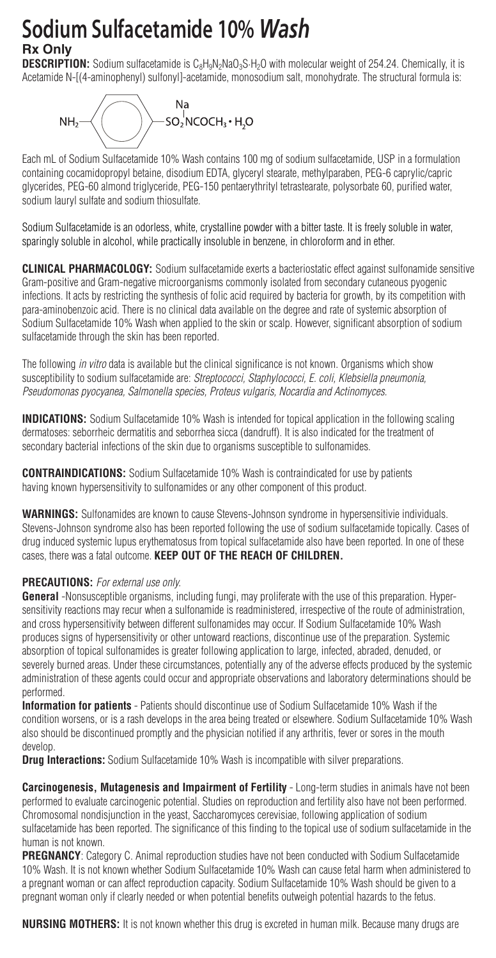## **Sodium Sulfacetamide 10%** *Wash* **Rx Only**

**DESCRIPTION:** Sodium sulfacetamide is C<sub>8</sub>H<sub>0</sub>N<sub>2</sub>N<sub>2</sub>N<sub>2</sub>O<sub>w</sub> with molecular weight of 254.24. Chemically, it is Acetamide N-[(4-aminophenyl) sulfonyl]-acetamide, monosodium salt, monohydrate. The structural formula is:



Each mL of Sodium Sulfacetamide 10% Wash contains 100 mg of sodium sulfacetamide, USP in a formulation containing cocamidopropyl betaine, disodium EDTA, glyceryl stearate, methylparaben, PEG-6 caprylic/capric glycerides, PEG-60 almond triglyceride, PEG-150 pentaerythrityl tetrastearate, polysorbate 60, purified water, sodium lauryl sulfate and sodium thiosulfate.

Sodium Sulfacetamide is an odorless, white, crystalline powder with a bitter taste. It is freely soluble in water, sparingly soluble in alcohol, while practically insoluble in benzene, in chloroform and in ether.

**CLINICAL PHARMACOLOGY:** Sodium sulfacetamide exerts a bacteriostatic effect against sulfonamide sensitive Gram-positive and Gram-negative microorganisms commonly isolated from secondary cutaneous pyogenic infections. It acts by restricting the synthesis of folic acid required by bacteria for growth, by its competition with para-aminobenzoic acid. There is no clinical data available on the degree and rate of systemic absorption of Sodium Sulfacetamide 10% Wash when applied to the skin or scalp. However, significant absorption of sodium sulfacetamide through the skin has been reported.

The following *in vitro* data is available but the clinical significance is not known. Organisms which show susceptibility to sodium sulfacetamide are: *Streptococci, Staphylococci, E. coli, Klebsiella pneumonia, Pseudomonas pyocyanea, Salmonella species, Proteus vulgaris, Nocardia and Actinomyces.*

**INDICATIONS:** Sodium Sulfacetamide 10% Wash is intended for topical application in the following scaling dermatoses: seborrheic dermatitis and seborrhea sicca (dandruff). It is also indicated for the treatment of secondary bacterial infections of the skin due to organisms susceptible to sulfonamides.

**CONTRAINDICATIONS:** Sodium Sulfacetamide 10% Wash is contraindicated for use by patients having known hypersensitivity to sulfonamides or any other component of this product.

**WARNINGS:** Sulfonamides are known to cause Stevens-Johnson syndrome in hypersensitivie individuals. Stevens-Johnson syndrome also has been reported following the use of sodium sulfacetamide topically. Cases of drug induced systemic lupus erythematosus from topical sulfacetamide also have been reported. In one of these cases, there was a fatal outcome. **KEEP OUT OF THE REACH OF CHILDREN.**

## **PRECAUTIONS:** *For external use only.*

**General** -Nonsusceptible organisms, including fungi, may proliferate with the use of this preparation. Hypersensitivity reactions may recur when a sulfonamide is readministered, irrespective of the route of administration, and cross hypersensitivity between different sulfonamides may occur. If Sodium Sulfacetamide 10% Wash produces signs of hypersensitivity or other untoward reactions, discontinue use of the preparation. Systemic absorption of topical sulfonamides is greater following application to large, infected, abraded, denuded, or severely burned areas. Under these circumstances, potentially any of the adverse effects produced by the systemic administration of these agents could occur and appropriate observations and laboratory determinations should be performed.

**Information for patients** - Patients should discontinue use of Sodium Sulfacetamide 10% Wash if the condition worsens, or is a rash develops in the area being treated or elsewhere. Sodium Sulfacetamide 10% Wash also should be discontinued promptly and the physician notified if any arthritis, fever or sores in the mouth develop.

**Drug Interactions:** Sodium Sulfacetamide 10% Wash is incompatible with silver preparations.

**Carcinogenesis, Mutagenesis and Impairment of Fertility** - Long-term studies in animals have not been performed to evaluate carcinogenic potential. Studies on reproduction and fertility also have not been performed. Chromosomal nondisjunction in the yeast, Saccharomyces cerevisiae, following application of sodium sulfacetamide has been reported. The significance of this finding to the topical use of sodium sulfacetamide in the human is not known.

PREGNANCY: Category C. Animal reproduction studies have not been conducted with Sodium Sulfacetamide 10% Wash. It is not known whether Sodium Sulfacetamide 10% Wash can cause fetal harm when administered to a pregnant woman or can affect reproduction capacity. Sodium Sulfacetamide 10% Wash should be given to a pregnant woman only if clearly needed or when potential benefits outweigh potential hazards to the fetus.

**NURSING MOTHERS:** It is not known whether this drug is excreted in human milk. Because many drugs are